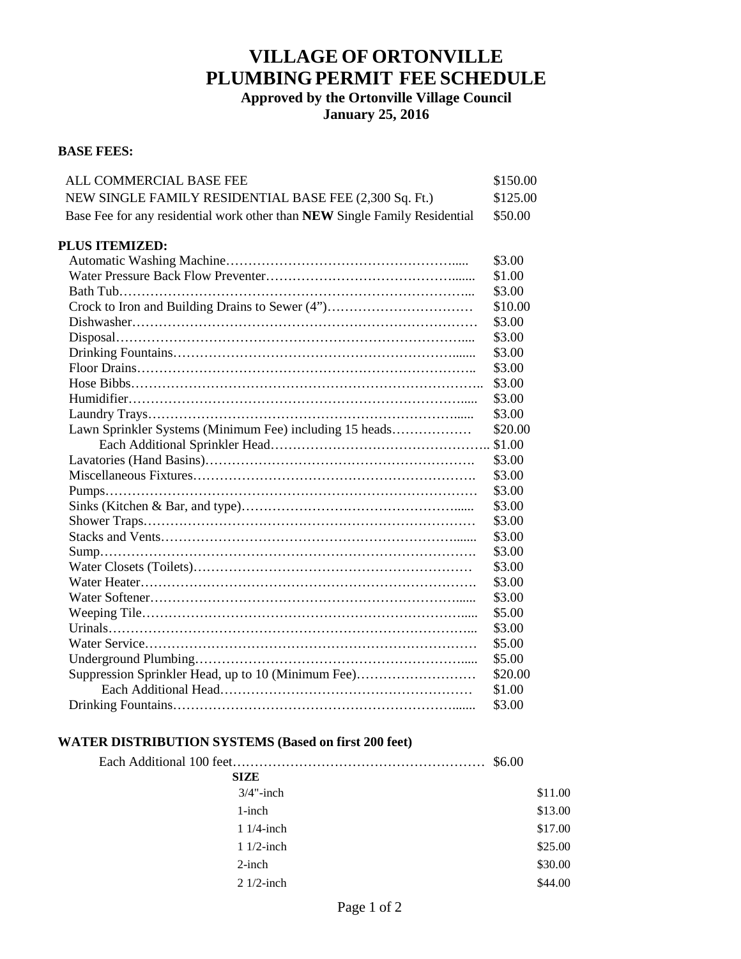# **VILLAGE OF ORTONVILLE PLUMBING PERMIT FEE SCHEDULE**

**Approved by the Ortonville Village Council January 25, 2016**

#### **BASE FEES:**

| <b>ALL COMMERCIAL BASE FEE</b>                                             | \$150.00 |
|----------------------------------------------------------------------------|----------|
| NEW SINGLE FAMILY RESIDENTIAL BASE FEE (2,300 Sq. Ft.)                     | \$125.00 |
| Base Fee for any residential work other than NEW Single Family Residential | \$50.00  |
| <b>PLUS ITEMIZED:</b>                                                      |          |
|                                                                            | \$3.00   |
|                                                                            | \$1.00   |
|                                                                            | \$3.00   |
| Crock to Iron and Building Drains to Sewer (4")                            | \$10.00  |
|                                                                            | \$3.00   |
|                                                                            | \$3.00   |
|                                                                            | \$3.00   |
|                                                                            | \$3.00   |
|                                                                            | \$3.00   |
|                                                                            | \$3.00   |
|                                                                            | \$3.00   |
| Lawn Sprinkler Systems (Minimum Fee) including 15 heads                    | \$20.00  |
|                                                                            | \$1.00   |
|                                                                            | \$3.00   |
|                                                                            | \$3.00   |
|                                                                            | \$3.00   |
|                                                                            | \$3.00   |
|                                                                            | \$3.00   |
|                                                                            | \$3.00   |
|                                                                            | \$3.00   |
|                                                                            | \$3.00   |
|                                                                            | \$3.00   |
|                                                                            | \$3.00   |
|                                                                            | \$5.00   |
|                                                                            | \$3.00   |
|                                                                            | \$5.00   |
|                                                                            | \$5.00   |
| Suppression Sprinkler Head, up to 10 (Minimum Fee)                         | \$20.00  |
|                                                                            | \$1.00   |
|                                                                            | \$3.00   |

## **WATER DISTRIBUTION SYSTEMS (Based on first 200 feet)**

|              | \$6.00 |         |
|--------------|--------|---------|
| <b>SIZE</b>  |        |         |
| $3/4$ "-inch |        | \$11.00 |
| $1$ -inch    |        | \$13.00 |
| $11/4$ -inch |        | \$17.00 |
| $11/2$ -inch |        | \$25.00 |
| $2$ -inch    |        | \$30.00 |
| $21/2$ -inch |        | \$44.00 |